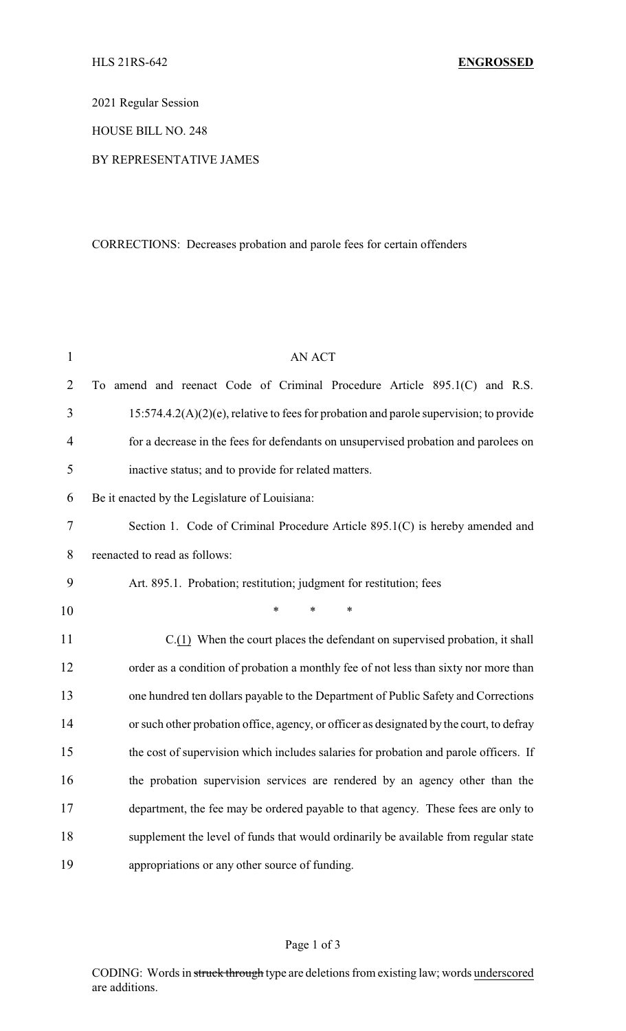2021 Regular Session

HOUSE BILL NO. 248

## BY REPRESENTATIVE JAMES

## CORRECTIONS: Decreases probation and parole fees for certain offenders

| $\mathbf{1}$   | <b>AN ACT</b>                                                                             |  |  |
|----------------|-------------------------------------------------------------------------------------------|--|--|
| $\overline{2}$ | To amend and reenact Code of Criminal Procedure Article 895.1(C) and R.S.                 |  |  |
| 3              | $15:574.4.2(A)(2)(e)$ , relative to fees for probation and parole supervision; to provide |  |  |
| $\overline{4}$ | for a decrease in the fees for defendants on unsupervised probation and parolees on       |  |  |
| 5              | inactive status; and to provide for related matters.                                      |  |  |
| 6              | Be it enacted by the Legislature of Louisiana:                                            |  |  |
| $\tau$         | Section 1. Code of Criminal Procedure Article 895.1(C) is hereby amended and              |  |  |
| 8              | reenacted to read as follows:                                                             |  |  |
| 9              | Art. 895.1. Probation; restitution; judgment for restitution; fees                        |  |  |
| 10             | $\ast$<br>*                                                                               |  |  |
| 11             | C.(1) When the court places the defendant on supervised probation, it shall               |  |  |
| 12             | order as a condition of probation a monthly fee of not less than sixty nor more than      |  |  |
| 13             | one hundred ten dollars payable to the Department of Public Safety and Corrections        |  |  |
| 14             | or such other probation office, agency, or officer as designated by the court, to defray  |  |  |
| 15             | the cost of supervision which includes salaries for probation and parole officers. If     |  |  |
| 16             | the probation supervision services are rendered by an agency other than the               |  |  |
| 17             | department, the fee may be ordered payable to that agency. These fees are only to         |  |  |
| 18             | supplement the level of funds that would ordinarily be available from regular state       |  |  |
| 19             | appropriations or any other source of funding.                                            |  |  |

## Page 1 of 3

CODING: Words in struck through type are deletions from existing law; words underscored are additions.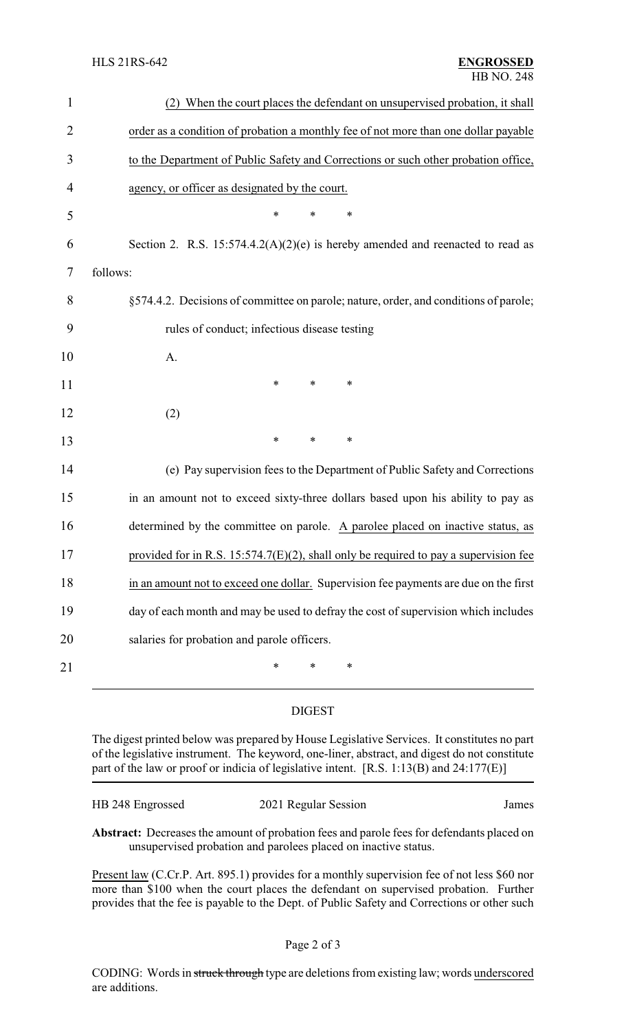| $\mathbf{1}$   | (2) When the court places the defendant on unsupervised probation, it shall             |  |  |
|----------------|-----------------------------------------------------------------------------------------|--|--|
| $\overline{2}$ | order as a condition of probation a monthly fee of not more than one dollar payable     |  |  |
| 3              | to the Department of Public Safety and Corrections or such other probation office,      |  |  |
| 4              | agency, or officer as designated by the court.                                          |  |  |
| 5              | *<br>∗<br>∗                                                                             |  |  |
| 6              | Section 2. R.S. 15:574.4.2(A)(2)(e) is hereby amended and reenacted to read as          |  |  |
| 7              | follows:                                                                                |  |  |
| 8              | §574.4.2. Decisions of committee on parole; nature, order, and conditions of parole;    |  |  |
| 9              | rules of conduct; infectious disease testing                                            |  |  |
| 10             | A.                                                                                      |  |  |
| 11             | ∗<br>*<br>∗                                                                             |  |  |
| 12             | (2)                                                                                     |  |  |
| 13             | $\ast$<br>∗<br>*                                                                        |  |  |
| 14             | (e) Pay supervision fees to the Department of Public Safety and Corrections             |  |  |
| 15             | in an amount not to exceed sixty-three dollars based upon his ability to pay as         |  |  |
| 16             | determined by the committee on parole. A parolee placed on inactive status, as          |  |  |
| 17             | provided for in R.S. $15:574.7(E)(2)$ , shall only be required to pay a supervision fee |  |  |
| 18             | in an amount not to exceed one dollar. Supervision fee payments are due on the first    |  |  |
| 19             | day of each month and may be used to defray the cost of supervision which includes      |  |  |
| 20             | salaries for probation and parole officers.                                             |  |  |
| 21             | *<br>*<br>∗                                                                             |  |  |

## DIGEST

The digest printed below was prepared by House Legislative Services. It constitutes no part of the legislative instrument. The keyword, one-liner, abstract, and digest do not constitute part of the law or proof or indicia of legislative intent. [R.S. 1:13(B) and 24:177(E)]

| HB 248 Engrossed | 2021 Regular Session | James |
|------------------|----------------------|-------|
|                  |                      |       |

**Abstract:** Decreases the amount of probation fees and parole fees for defendants placed on unsupervised probation and parolees placed on inactive status.

Present law (C.Cr.P. Art. 895.1) provides for a monthly supervision fee of not less \$60 nor more than \$100 when the court places the defendant on supervised probation. Further provides that the fee is payable to the Dept. of Public Safety and Corrections or other such